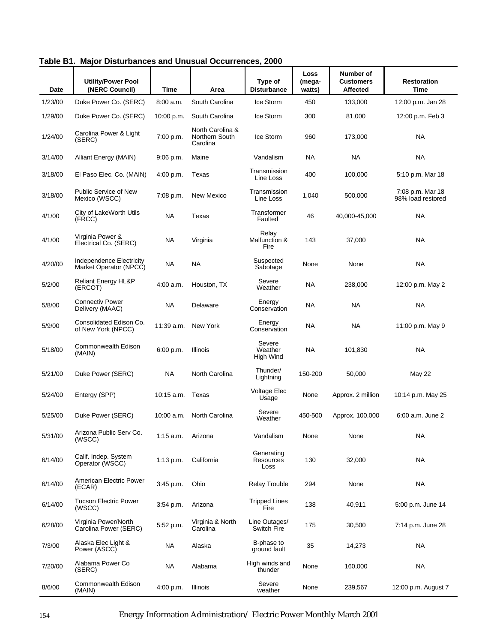|         | Protarbances and Undouar                           |             |                                                |                                 |                          |                                           |                                       |
|---------|----------------------------------------------------|-------------|------------------------------------------------|---------------------------------|--------------------------|-------------------------------------------|---------------------------------------|
| Date    | <b>Utility/Power Pool</b><br>(NERC Council)        | Time        | Area                                           | Type of<br><b>Disturbance</b>   | Loss<br>(mega-<br>watts) | Number of<br><b>Customers</b><br>Affected | <b>Restoration</b><br><b>Time</b>     |
| 1/23/00 | Duke Power Co. (SERC)                              | 8:00 a.m.   | South Carolina                                 | Ice Storm                       | 450                      | 133,000                                   | 12:00 p.m. Jan 28                     |
| 1/29/00 | Duke Power Co. (SERC)                              | 10:00 p.m.  | South Carolina                                 | Ice Storm                       | 300                      | 81,000                                    | 12:00 p.m. Feb 3                      |
| 1/24/00 | Carolina Power & Light<br>(SERC)                   | 7:00 p.m.   | North Carolina &<br>Northern South<br>Carolina | Ice Storm                       | 960                      | 173,000                                   | <b>NA</b>                             |
| 3/14/00 | Alliant Energy (MAIN)                              | $9:06$ p.m. | Maine                                          | Vandalism                       | NA                       | NA                                        | <b>NA</b>                             |
| 3/18/00 | El Paso Elec. Co. (MAIN)                           | 4:00 p.m.   | Texas                                          | Transmission<br>Line Loss       | 400                      | 100,000                                   | 5:10 p.m. Mar 18                      |
| 3/18/00 | <b>Public Service of New</b><br>Mexico (WSCC)      | $7:08$ p.m. | New Mexico                                     | Transmission<br>Line Loss       | 1,040                    | 500,000                                   | 7:08 p.m. Mar 18<br>98% load restored |
| 4/1/00  | City of LakeWorth Utils<br>(FRCC)                  | <b>NA</b>   | Texas                                          | Transformer<br>Faulted          | 46                       | 40,000-45,000                             | <b>NA</b>                             |
| 4/1/00  | Virginia Power &<br>Electrical Co. (SERC)          | <b>NA</b>   | Virginia                                       | Relay<br>Malfunction &<br>Fire  | 143                      | 37,000                                    | <b>NA</b>                             |
| 4/20/00 | Independence Electricity<br>Market Operator (NPCC) | <b>NA</b>   | <b>NA</b>                                      | Suspected<br>Sabotage           | None                     | None                                      | <b>NA</b>                             |
| 5/2/00  | Reliant Energy HL&P<br>(ERCOT)                     | 4:00 a.m.   | Houston, TX                                    | Severe<br>Weather               | NA                       | 238,000                                   | 12:00 p.m. May 2                      |
| 5/8/00  | <b>Connectiv Power</b><br>Delivery (MAAC)          | <b>NA</b>   | Delaware                                       | Energy<br>Conservation          | NA                       | <b>NA</b>                                 | <b>NA</b>                             |
| 5/9/00  | Consolidated Edison Co.<br>of New York (NPCC)      | 11:39 a.m.  | New York                                       | Energy<br>Conservation          | NA                       | <b>NA</b>                                 | 11:00 p.m. May 9                      |
| 5/18/00 | Commonwealth Edison<br>(MAIN)                      | 6:00 p.m.   | Illinois                                       | Severe<br>Weather<br>High Wind  | <b>NA</b>                | 101,830                                   | <b>NA</b>                             |
| 5/21/00 | Duke Power (SERC)                                  | <b>NA</b>   | North Carolina                                 | Thunder/<br>Lightning           | 150-200                  | 50,000                                    | May 22                                |
| 5/24/00 | Entergy (SPP)                                      | 10:15 a.m.  | Texas                                          | <b>Voltage Elec</b><br>Usage    | None                     | Approx. 2 million                         | 10:14 p.m. May 25                     |
| 5/25/00 | Duke Power (SERC)                                  | 10:00 a.m.  | North Carolina                                 | Severe<br>Weather               | 450-500                  | Approx. 100,000                           | 6:00 a.m. June 2                      |
| 5/31/00 | Arizona Public Serv Co.<br>(WSCC)                  | $1:15$ a.m. | Arizona                                        | Vandalism                       | None                     | None                                      | <b>NA</b>                             |
| 6/14/00 | Calif. Indep. System<br>Operator (WSCC)            | 1:13 p.m.   | California                                     | Generating<br>Resources<br>Loss | 130                      | 32,000                                    | <b>NA</b>                             |
| 6/14/00 | American Electric Power<br>(ECAR)                  | 3:45 p.m.   | Ohio                                           | <b>Relay Trouble</b>            | 294                      | None                                      | <b>NA</b>                             |
| 6/14/00 | <b>Tucson Electric Power</b><br>(WSCC)             | $3:54$ p.m. | Arizona                                        | <b>Tripped Lines</b><br>Fire    | 138                      | 40,911                                    | 5:00 p.m. June 14                     |
| 6/28/00 | Virginia Power/North<br>Carolina Power (SERC)      | 5:52 p.m.   | Virginia & North<br>Carolina                   | Line Outages/<br>Switch Fire    | 175                      | 30,500                                    | 7:14 p.m. June 28                     |
| 7/3/00  | Alaska Elec Light &<br>Power (ASCC)                | <b>NA</b>   | Alaska                                         | B-phase to<br>ground fault      | 35                       | 14,273                                    | <b>NA</b>                             |
| 7/20/00 | Alabama Power Co<br>(SERC)                         | <b>NA</b>   | Alabama                                        | High winds and<br>thunder       | None                     | 160,000                                   | <b>NA</b>                             |
| 8/6/00  | Commonwealth Edison<br>(MAIN)                      | 4:00 p.m.   | Illinois                                       | Severe<br>weather               | None                     | 239,567                                   | 12:00 p.m. August 7                   |

**Table B1. Major Disturbances and Unusual Occurrences, 2000**